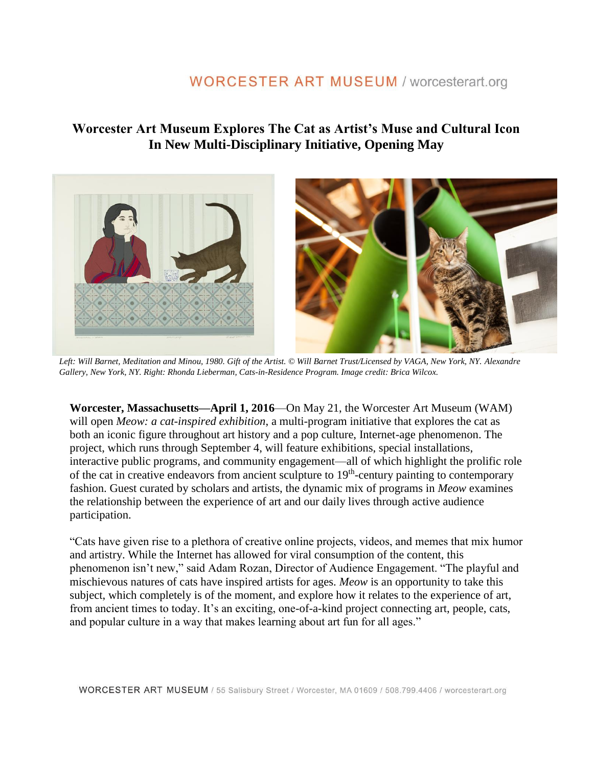## **Worcester Art Museum Explores The Cat as Artist's Muse and Cultural Icon In New Multi-Disciplinary Initiative, Opening May**



*Left: Will Barnet, Meditation and Minou, 1980. Gift of the Artist. © Will Barnet Trust/Licensed by VAGA, New York, NY. Alexandre Gallery, New York, NY. Right: Rhonda Lieberman, Cats-in-Residence Program. Image credit: Brica Wilcox.* 

**Worcester, Massachusetts—April 1, 2016**—On May 21, the Worcester Art Museum (WAM) will open *Meow: a cat-inspired exhibition*, a multi-program initiative that explores the cat as both an iconic figure throughout art history and a pop culture, Internet-age phenomenon. The project, which runs through September 4, will feature exhibitions, special installations, interactive public programs, and community engagement—all of which highlight the prolific role of the cat in creative endeavors from ancient sculpture to 19<sup>th</sup>-century painting to contemporary fashion. Guest curated by scholars and artists, the dynamic mix of programs in *Meow* examines the relationship between the experience of art and our daily lives through active audience participation.

"Cats have given rise to a plethora of creative online projects, videos, and memes that mix humor and artistry. While the Internet has allowed for viral consumption of the content, this phenomenon isn't new," said Adam Rozan, Director of Audience Engagement. "The playful and mischievous natures of cats have inspired artists for ages. *Meow* is an opportunity to take this subject, which completely is of the moment, and explore how it relates to the experience of art, from ancient times to today. It's an exciting, one-of-a-kind project connecting art, people, cats, and popular culture in a way that makes learning about art fun for all ages."

WORCESTER ART MUSEUM / 55 Salisbury Street / Worcester, MA 01609 / 508.799.4406 / worcesterart.org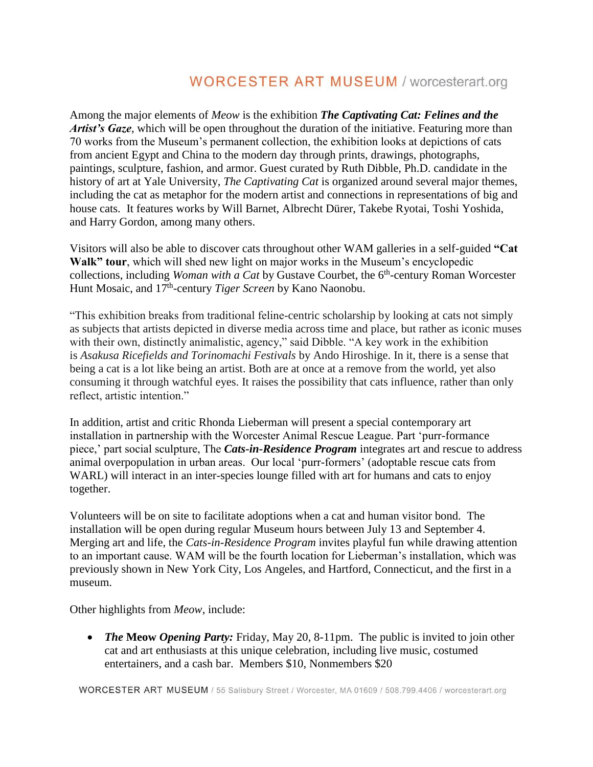Among the major elements of *Meow* is the exhibition *The Captivating Cat: Felines and the Artist's Gaze*, which will be open throughout the duration of the initiative. Featuring more than 70 works from the Museum's permanent collection, the exhibition looks at depictions of cats from ancient Egypt and China to the modern day through prints, drawings, photographs, paintings, sculpture, fashion, and armor. Guest curated by Ruth Dibble, Ph.D. candidate in the history of art at Yale University, *The Captivating Cat* is organized around several major themes, including the cat as metaphor for the modern artist and connections in representations of big and house cats. It features works by Will Barnet, Albrecht Dürer, Takebe Ryotai, Toshi Yoshida, and Harry Gordon, among many others.

Visitors will also be able to discover cats throughout other WAM galleries in a self-guided **"Cat Walk" tour**, which will shed new light on major works in the Museum's encyclopedic collections, including *Woman with a Cat* by Gustave Courbet, the 6<sup>th</sup>-century Roman Worcester Hunt Mosaic, and 17<sup>th</sup>-century *Tiger Screen* by Kano Naonobu.

"This exhibition breaks from traditional feline-centric scholarship by looking at cats not simply as subjects that artists depicted in diverse media across time and place, but rather as iconic muses with their own, distinctly animalistic, agency," said Dibble. "A key work in the exhibition is *Asakusa Ricefields and Torinomachi Festivals* by Ando Hiroshige. In it, there is a sense that being a cat is a lot like being an artist. Both are at once at a remove from the world, yet also consuming it through watchful eyes. It raises the possibility that cats influence, rather than only reflect, artistic intention."

In addition, artist and critic Rhonda Lieberman will present a special contemporary art installation in partnership with the Worcester Animal Rescue League. Part 'purr-formance piece,' part social sculpture, The *Cats-in-Residence Program* integrates art and rescue to address animal overpopulation in urban areas. Our local 'purr-formers' (adoptable rescue cats from WARL) will interact in an inter-species lounge filled with art for humans and cats to enjoy together.

Volunteers will be on site to facilitate adoptions when a cat and human visitor bond. The installation will be open during regular Museum hours between July 13 and September 4. Merging art and life, the *Cats-in-Residence Program* invites playful fun while drawing attention to an important cause. WAM will be the fourth location for Lieberman's installation, which was previously shown in New York City, Los Angeles, and Hartford, Connecticut, and the first in a museum.

Other highlights from *Meow*, include:

• **The Meow Opening Party:** Friday, May 20, 8-11pm. The public is invited to join other cat and art enthusiasts at this unique celebration, including live music, costumed entertainers, and a cash bar. Members \$10, Nonmembers \$20

WORCESTER ART MUSEUM / 55 Salisbury Street / Worcester, MA 01609 / 508.799.4406 / worcesterart.org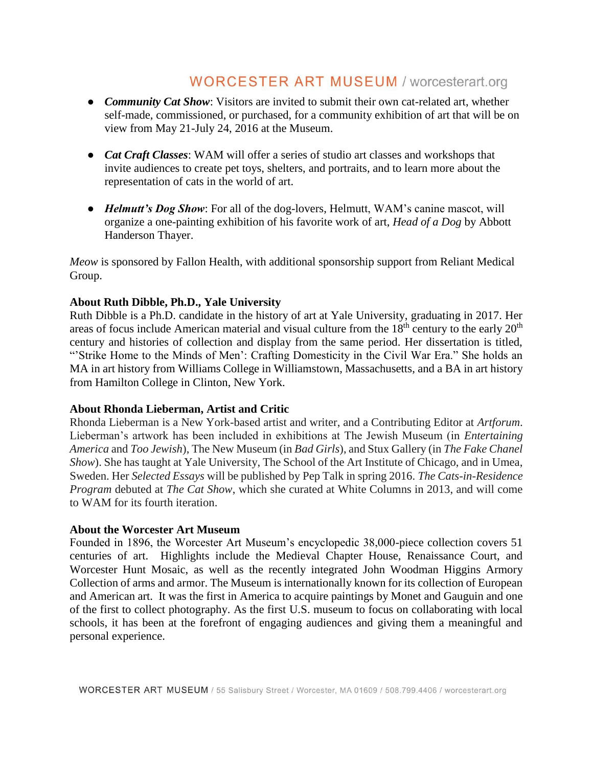- *Community Cat Show*: Visitors are invited to submit their own cat-related art, whether self-made, commissioned, or purchased, for a community exhibition of art that will be on view from May 21-July 24, 2016 at the Museum.
- *Cat Craft Classes*: WAM will offer a series of studio art classes and workshops that invite audiences to create pet toys, shelters, and portraits, and to learn more about the representation of cats in the world of art.
- *Helmutt's Dog Show*: For all of the dog-lovers, Helmutt, WAM's canine mascot, will organize a one-painting exhibition of his favorite work of art, *Head of a Dog* by Abbott Handerson Thayer.

*Meow* is sponsored by Fallon Health, with additional sponsorship support from Reliant Medical Group.

#### **About Ruth Dibble, Ph.D., Yale University**

Ruth Dibble is a Ph.D. candidate in the history of art at Yale University, graduating in 2017. Her areas of focus include American material and visual culture from the  $18<sup>th</sup>$  century to the early  $20<sup>th</sup>$ century and histories of collection and display from the same period. Her dissertation is titled, "Strike Home to the Minds of Men': Crafting Domesticity in the Civil War Era." She holds an MA in art history from Williams College in Williamstown, Massachusetts, and a BA in art history from Hamilton College in Clinton, New York.

#### **About Rhonda Lieberman, Artist and Critic**

Rhonda Lieberman is a New York-based artist and writer, and a Contributing Editor at *Artforum*. Lieberman's artwork has been included in exhibitions at The Jewish Museum (in *Entertaining America* and *Too Jewish*), The New Museum (in *Bad Girls*), and Stux Gallery (in *The Fake Chanel Show*). She has taught at Yale University, The School of the Art Institute of Chicago, and in Umea, Sweden. Her *Selected Essays* will be published by Pep Talk in spring 2016. *The Cats-in-Residence Program* debuted at *The Cat Show*, which she curated at White Columns in 2013, and will come to WAM for its fourth iteration.

#### **About the Worcester Art Museum**

Founded in 1896, the Worcester Art Museum's encyclopedic 38,000-piece collection covers 51 centuries of art. Highlights include the Medieval Chapter House, Renaissance Court, and Worcester Hunt Mosaic, as well as the recently integrated John Woodman Higgins Armory Collection of arms and armor. The Museum is internationally known for its collection of European and American art. It was the first in America to acquire paintings by Monet and Gauguin and one of the first to collect photography. As the first U.S. museum to focus on collaborating with local schools, it has been at the forefront of engaging audiences and giving them a meaningful and personal experience.